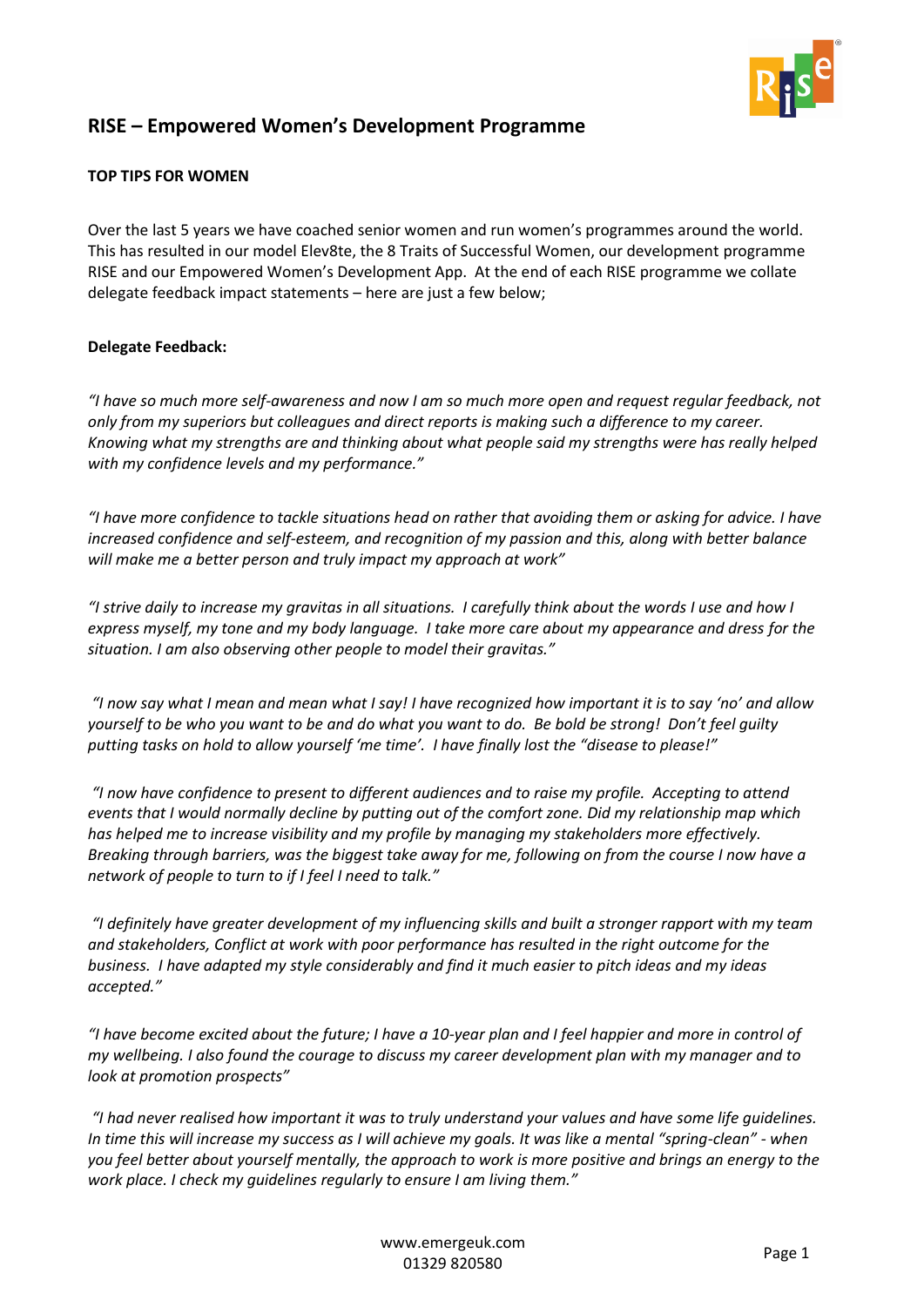

## **RISE – Empowered Women's Development Programme**

## **TOP TIPS FOR WOMEN**

Over the last 5 years we have coached senior women and run women's programmes around the world. This has resulted in our model Elev8te, the 8 Traits of Successful Women, our development programme RISE and our Empowered Women's Development App. At the end of each RISE programme we collate delegate feedback impact statements – here are just a few below;

## **Delegate Feedback:**

*"I have so much more self-awareness and now I am so much more open and request regular feedback, not only from my superiors but colleagues and direct reports is making such a difference to my career. Knowing what my strengths are and thinking about what people said my strengths were has really helped with my confidence levels and my performance."*

*"I have more confidence to tackle situations head on rather that avoiding them or asking for advice. I have increased confidence and self-esteem, and recognition of my passion and this, along with better balance will make me a better person and truly impact my approach at work"*

*"I strive daily to increase my gravitas in all situations. I carefully think about the words I use and how I express myself, my tone and my body language. I take more care about my appearance and dress for the situation. I am also observing other people to model their gravitas."*

*"I now say what I mean and mean what I say! I have recognized how important it is to say 'no' and allow yourself to be who you want to be and do what you want to do. Be bold be strong! Don't feel guilty putting tasks on hold to allow yourself 'me time'. I have finally lost the "disease to please!"*

*"I now have confidence to present to different audiences and to raise my profile. Accepting to attend events that I would normally decline by putting out of the comfort zone. Did my relationship map which has helped me to increase visibility and my profile by managing my stakeholders more effectively. Breaking through barriers, was the biggest take away for me, following on from the course I now have a network of people to turn to if I feel I need to talk."*

*"I definitely have greater development of my influencing skills and built a stronger rapport with my team and stakeholders, Conflict at work with poor performance has resulted in the right outcome for the business. I have adapted my style considerably and find it much easier to pitch ideas and my ideas accepted."*

*"I have become excited about the future; I have a 10-year plan and I feel happier and more in control of my wellbeing. I also found the courage to discuss my career development plan with my manager and to look at promotion prospects"*

*"I had never realised how important it was to truly understand your values and have some life guidelines. In time this will increase my success as I will achieve my goals. It was like a mental "spring-clean" - when you feel better about yourself mentally, the approach to work is more positive and brings an energy to the work place. I check my quidelines regularly to ensure I am living them."*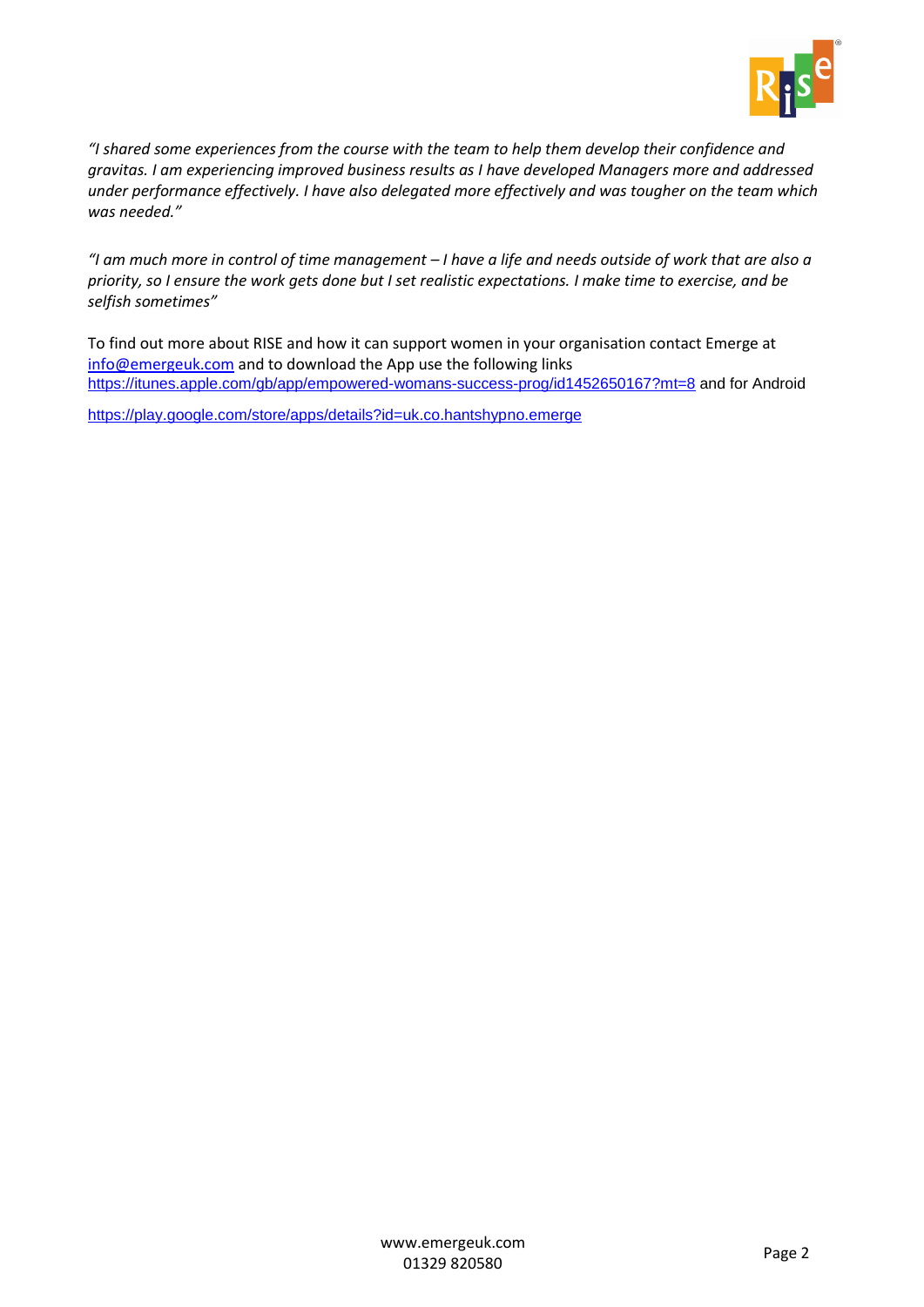

*"I shared some experiences from the course with the team to help them develop their confidence and gravitas. I am experiencing improved business results as I have developed Managers more and addressed under performance effectively. I have also delegated more effectively and was tougher on the team which was needed."*

*"I am much more in control of time management – I have a life and needs outside of work that are also a priority, so I ensure the work gets done but I set realistic expectations. I make time to exercise, and be selfish sometimes"*

To find out more about RISE and how it can support women in your organisation contact Emerge at [info@emergeuk.com](mailto:info@emergeuk.com) and to download the App use the following links <https://itunes.apple.com/gb/app/empowered-womans-success-prog/id1452650167?mt=8> and for Android

<https://play.google.com/store/apps/details?id=uk.co.hantshypno.emerge>